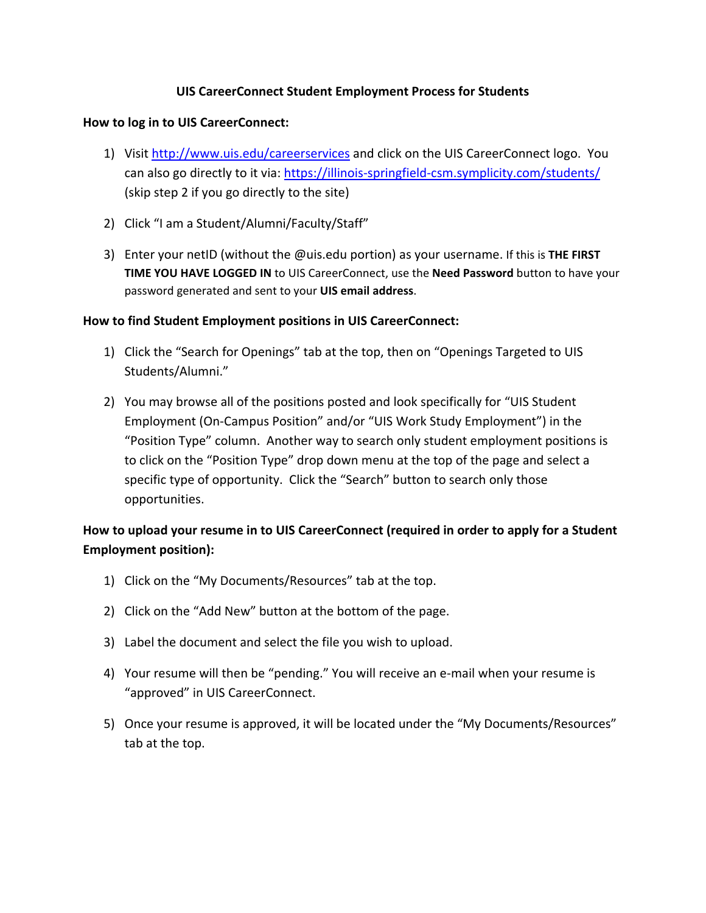## **UIS CareerConnect Student Employment Process for Students**

## **How to log in to UIS CareerConnect:**

- 1) Visit http://www.uis.edu/careerservices and click on the UIS CareerConnect logo. You can also go directly to it via: https://illinois-springfield-csm.symplicity.com/students/ (skip step 2 if you go directly to the site)
- 2) Click "I am a Student/Alumni/Faculty/Staff"
- 3) Enter your netID (without the @uis.edu portion) as your username. If this is **THE FIRST TIME YOU HAVE LOGGED IN** to UIS CareerConnect, use the **Need Password** button to have your password generated and sent to your **UIS email address**.

## **How to find Student Employment positions in UIS CareerConnect:**

- 1) Click the "Search for Openings" tab at the top, then on "Openings Targeted to UIS Students/Alumni."
- 2) You may browse all of the positions posted and look specifically for "UIS Student Employment (On‐Campus Position" and/or "UIS Work Study Employment") in the "Position Type" column. Another way to search only student employment positions is to click on the "Position Type" drop down menu at the top of the page and select a specific type of opportunity. Click the "Search" button to search only those opportunities.

# **How to upload your resume in to UIS CareerConnect (required in order to apply for a Student Employment position):**

- 1) Click on the "My Documents/Resources" tab at the top.
- 2) Click on the "Add New" button at the bottom of the page.
- 3) Label the document and select the file you wish to upload.
- 4) Your resume will then be "pending." You will receive an e-mail when your resume is "approved" in UIS CareerConnect.
- 5) Once your resume is approved, it will be located under the "My Documents/Resources" tab at the top.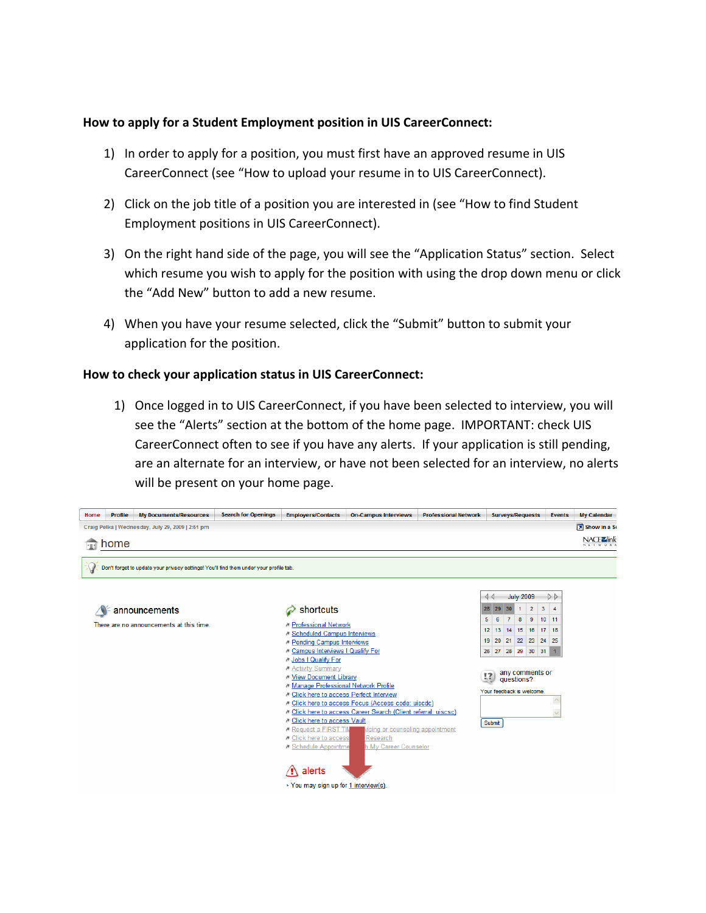### **How to apply for a Student Employment position in UIS CareerConnect:**

- 1) In order to apply for a position, you must first have an approved resume in UIS CareerConnect (see "How to upload your resume in to UIS CareerConnect).
- 2) Click on the job title of a position you are interested in (see "How to find Student Employment positions in UIS CareerConnect).
- 3) On the right hand side of the page, you will see the "Application Status" section. Select which resume you wish to apply for the position with using the drop down menu or click the "Add New" button to add a new resume.
- 4) When you have your resume selected, click the "Submit" button to submit your application for the position.

### **How to check your application status in UIS CareerConnect:**

1) Once logged in to UIS CareerConnect, if you have been selected to interview, you will see the "Alerts" section at the bottom of the home page. IMPORTANT: check UIS CareerConnect often to see if you have any alerts. If your application is still pending, are an alternate for an interview, or have not been selected for an interview, no alerts will be present on your home page.